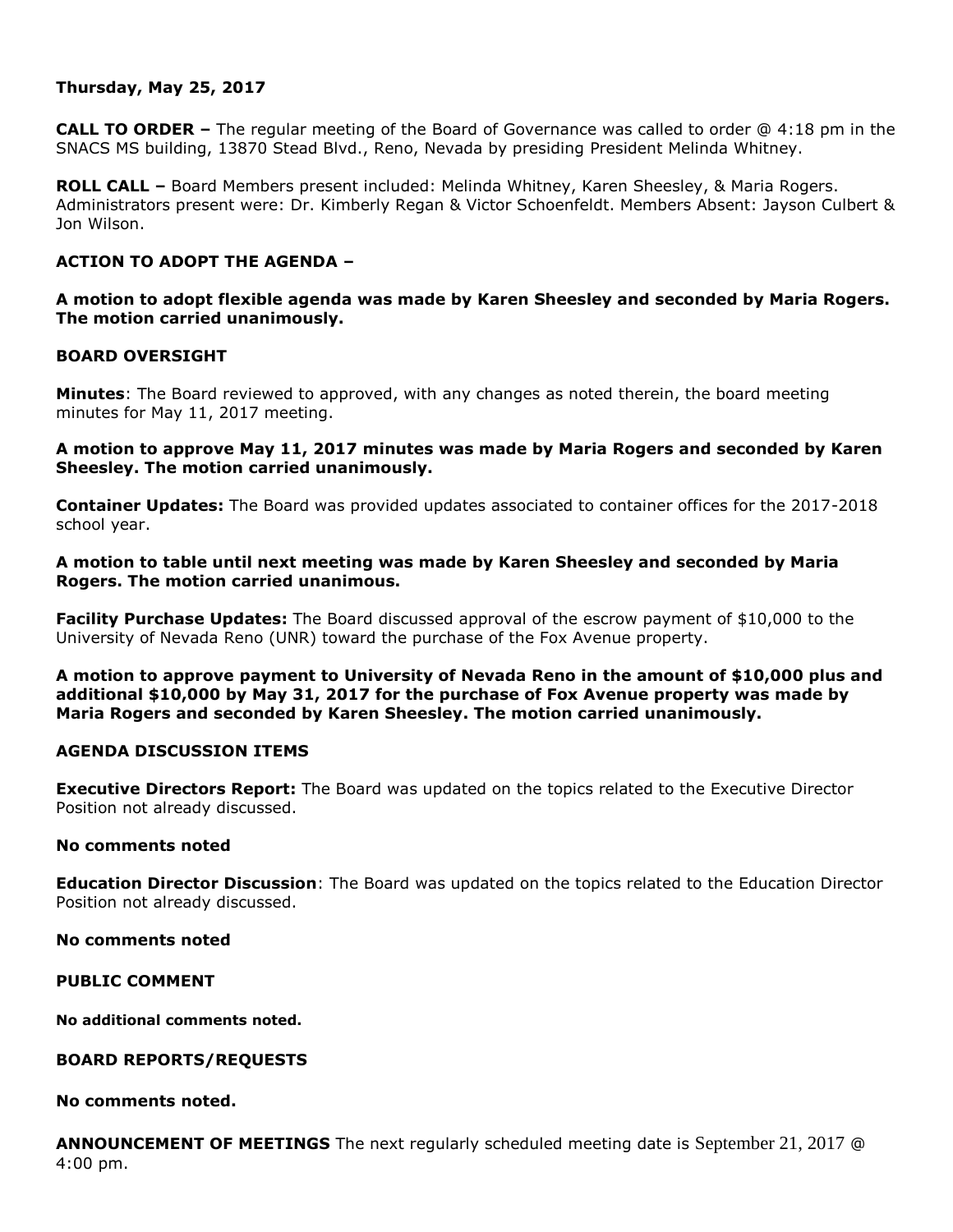# **Thursday, May 25, 2017**

**CALL TO ORDER –** The regular meeting of the Board of Governance was called to order @ 4:18 pm in the SNACS MS building, 13870 Stead Blvd., Reno, Nevada by presiding President Melinda Whitney.

**ROLL CALL –** Board Members present included: Melinda Whitney, Karen Sheesley, & Maria Rogers. Administrators present were: Dr. Kimberly Regan & Victor Schoenfeldt. Members Absent: Jayson Culbert & Jon Wilson.

# **ACTION TO ADOPT THE AGENDA –**

**A motion to adopt flexible agenda was made by Karen Sheesley and seconded by Maria Rogers. The motion carried unanimously.** 

#### **BOARD OVERSIGHT**

**Minutes**: The Board reviewed to approved, with any changes as noted therein, the board meeting minutes for May 11, 2017 meeting.

**A motion to approve May 11, 2017 minutes was made by Maria Rogers and seconded by Karen Sheesley. The motion carried unanimously.**

**Container Updates:** The Board was provided updates associated to container offices for the 2017-2018 school year.

**A motion to table until next meeting was made by Karen Sheesley and seconded by Maria Rogers. The motion carried unanimous.**

**Facility Purchase Updates:** The Board discussed approval of the escrow payment of \$10,000 to the University of Nevada Reno (UNR) toward the purchase of the Fox Avenue property.

**A motion to approve payment to University of Nevada Reno in the amount of \$10,000 plus and additional \$10,000 by May 31, 2017 for the purchase of Fox Avenue property was made by Maria Rogers and seconded by Karen Sheesley. The motion carried unanimously.** 

#### **AGENDA DISCUSSION ITEMS**

**Executive Directors Report:** The Board was updated on the topics related to the Executive Director Position not already discussed.

#### **No comments noted**

**Education Director Discussion**: The Board was updated on the topics related to the Education Director Position not already discussed.

**No comments noted** 

**PUBLIC COMMENT**

**No additional comments noted.**

#### **BOARD REPORTS/REQUESTS**

### **No comments noted.**

**ANNOUNCEMENT OF MEETINGS** The next regularly scheduled meeting date is September 21, 2017 @ 4:00 pm.